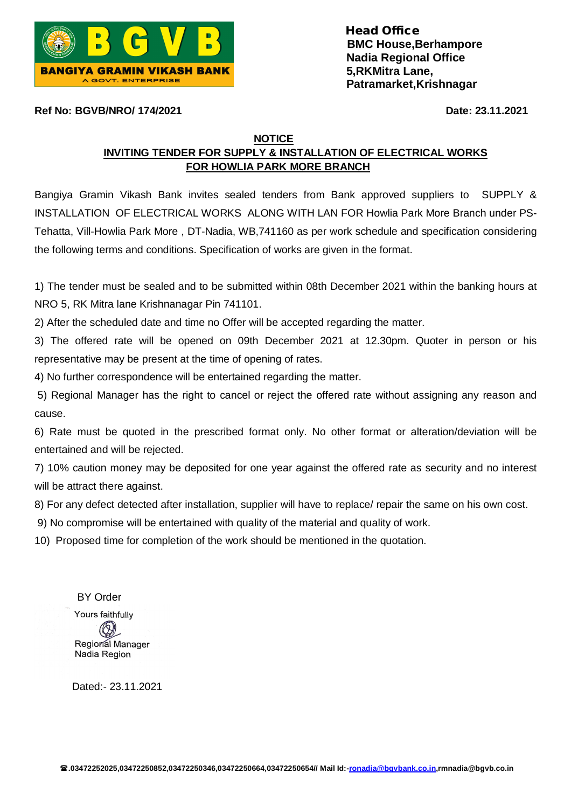

**Ref No: BGVB/NRO/ 174/2021 Date: 23.11.2021** 

**NOTICE** 

## **INVITING TENDER FOR SUPPLY & INSTALLATION OF ELECTRICAL WORKS FOR HOWLIA PARK MORE BRANCH**

Bangiya Gramin Vikash Bank invites sealed tenders from Bank approved suppliers to SUPPLY & INSTALLATION OF ELECTRICAL WORKS ALONG WITH LAN FOR Howlia Park More Branch under PS-Tehatta, Vill-Howlia Park More , DT-Nadia, WB,741160 as per work schedule and specification considering the following terms and conditions. Specification of works are given in the format.

1) The tender must be sealed and to be submitted within 08th December 2021 within the banking hours at NRO 5, RK Mitra lane Krishnanagar Pin 741101.

2) After the scheduled date and time no Offer will be accepted regarding the matter.

3) The offered rate will be opened on 09th December 2021 at 12.30pm. Quoter in person or his representative may be present at the time of opening of rates.

4) No further correspondence will be entertained regarding the matter.

5) Regional Manager has the right to cancel or reject the offered rate without assigning any reason and cause.

6) Rate must be quoted in the prescribed format only. No other format or alteration/deviation will be entertained and will be rejected.

7) 10% caution money may be deposited for one year against the offered rate as security and no interest will be attract there against.

8) For any defect detected after installation, supplier will have to replace/ repair the same on his own cost.

9) No compromise will be entertained with quality of the material and quality of work.

10) Proposed time for completion of the work should be mentioned in the quotation.

 BY Order Yours faithfully Regiorial Manager Nadia Region

Dated:- 23.11.2021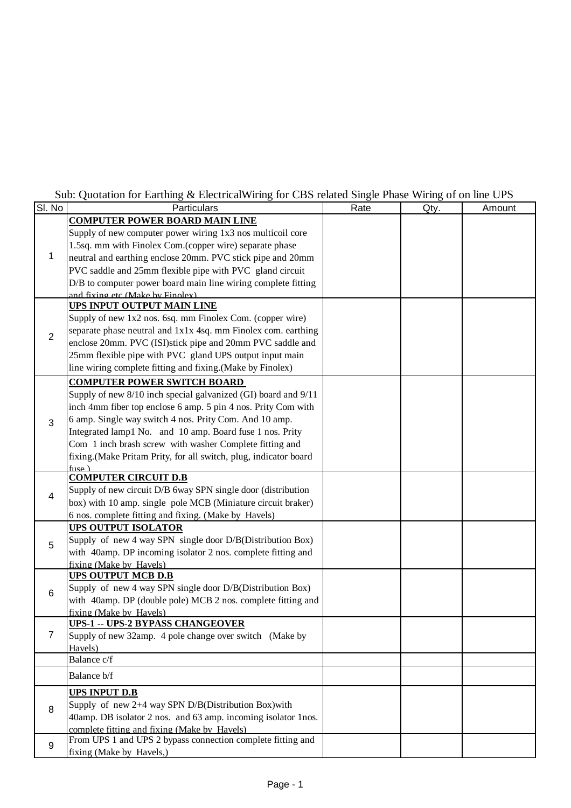## Sub: Quotation for Earthing & ElectricalWiring for CBS related Single Phase Wiring of on line UPS

| SI. No         | bao. Quotation for Earthing $\alpha$ Electrical while, for CDD feated bingle 1 has $\alpha$ ming of on fine CFD<br>Particulars | Rate | Qty. | Amount |
|----------------|--------------------------------------------------------------------------------------------------------------------------------|------|------|--------|
|                | <b>COMPUTER POWER BOARD MAIN LINE</b>                                                                                          |      |      |        |
| 1              | Supply of new computer power wiring 1x3 nos multicoil core                                                                     |      |      |        |
|                | 1.5sq. mm with Finolex Com.(copper wire) separate phase                                                                        |      |      |        |
|                | neutral and earthing enclose 20mm. PVC stick pipe and 20mm                                                                     |      |      |        |
|                | PVC saddle and 25mm flexible pipe with PVC gland circuit                                                                       |      |      |        |
|                | D/B to computer power board main line wiring complete fitting                                                                  |      |      |        |
|                | and fixing etc (Make by Finolex)                                                                                               |      |      |        |
|                | UPS INPUT OUTPUT MAIN LINE                                                                                                     |      |      |        |
|                | Supply of new 1x2 nos. 6sq. mm Finolex Com. (copper wire)                                                                      |      |      |        |
| $\overline{2}$ | separate phase neutral and 1x1x 4sq. mm Finolex com. earthing                                                                  |      |      |        |
|                | enclose 20mm. PVC (ISI)stick pipe and 20mm PVC saddle and                                                                      |      |      |        |
|                | 25mm flexible pipe with PVC gland UPS output input main                                                                        |      |      |        |
|                | line wiring complete fitting and fixing. (Make by Finolex)                                                                     |      |      |        |
|                | <b>COMPUTER POWER SWITCH BOARD</b>                                                                                             |      |      |        |
|                | Supply of new 8/10 inch special galvanized (GI) board and 9/11                                                                 |      |      |        |
|                | inch 4mm fiber top enclose 6 amp. 5 pin 4 nos. Prity Com with                                                                  |      |      |        |
| 3              | 6 amp. Single way switch 4 nos. Prity Com. And 10 amp.                                                                         |      |      |        |
|                | Integrated lamp1 No. and 10 amp. Board fuse 1 nos. Prity                                                                       |      |      |        |
|                | Com 1 inch brash screw with washer Complete fitting and                                                                        |      |      |        |
|                | fixing.(Make Pritam Prity, for all switch, plug, indicator board                                                               |      |      |        |
|                | fuse $\lambda$<br><b>COMPUTER CIRCUIT D.B</b>                                                                                  |      |      |        |
|                | Supply of new circuit D/B 6way SPN single door (distribution                                                                   |      |      |        |
| 4              | box) with 10 amp. single pole MCB (Miniature circuit braker)                                                                   |      |      |        |
|                | 6 nos. complete fitting and fixing. (Make by Havels)                                                                           |      |      |        |
|                | <b>UPS OUTPUT ISOLATOR</b>                                                                                                     |      |      |        |
|                | Supply of new 4 way SPN single door D/B(Distribution Box)                                                                      |      |      |        |
| 5              | with 40amp. DP incoming isolator 2 nos. complete fitting and                                                                   |      |      |        |
|                | fixing (Make by Havels)                                                                                                        |      |      |        |
|                | <b>UPS OUTPUT MCB D.B</b>                                                                                                      |      |      |        |
| 6              | Supply of new 4 way SPN single door D/B(Distribution Box)                                                                      |      |      |        |
|                | with 40amp. DP (double pole) MCB 2 nos. complete fitting and                                                                   |      |      |        |
|                | fixing (Make by Havels)                                                                                                        |      |      |        |
|                | <b>UPS-1 -- UPS-2 BYPASS CHANGEOVER</b>                                                                                        |      |      |        |
| $\overline{7}$ | Supply of new 32amp. 4 pole change over switch (Make by                                                                        |      |      |        |
|                | Havels)                                                                                                                        |      |      |        |
|                | Balance c/f                                                                                                                    |      |      |        |
|                | Balance b/f                                                                                                                    |      |      |        |
| 8              | <b>UPS INPUT D.B</b>                                                                                                           |      |      |        |
|                | Supply of new 2+4 way SPN D/B(Distribution Box) with                                                                           |      |      |        |
|                | 40amp. DB isolator 2 nos. and 63 amp. incoming isolator 1nos.                                                                  |      |      |        |
|                | complete fitting and fixing (Make by Havels)                                                                                   |      |      |        |
| 9              | From UPS 1 and UPS 2 bypass connection complete fitting and                                                                    |      |      |        |
|                | fixing (Make by Havels,)                                                                                                       |      |      |        |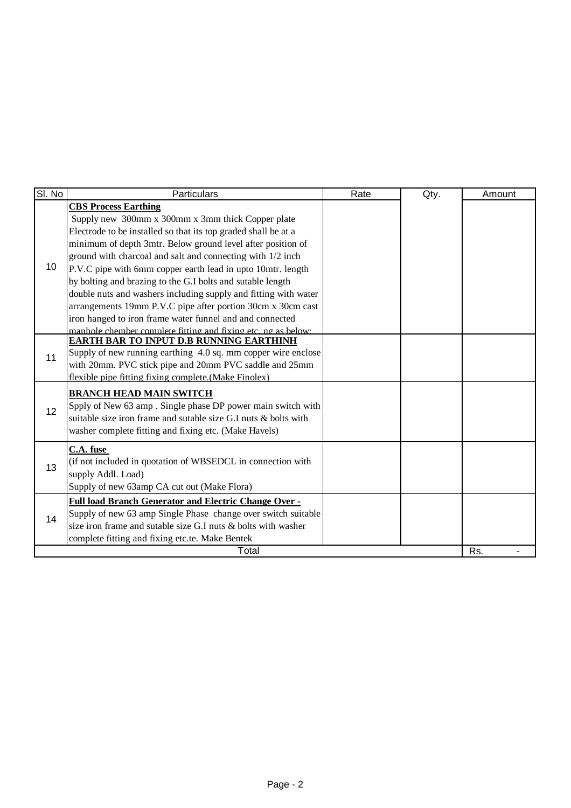| SI. No          | Particulars                                                     | Rate | Qty. | Amount |
|-----------------|-----------------------------------------------------------------|------|------|--------|
|                 | <b>CBS Process Earthing</b>                                     |      |      |        |
|                 | Supply new 300mm x 300mm x 3mm thick Copper plate               |      |      |        |
|                 | Electrode to be installed so that its top graded shall be at a  |      |      |        |
|                 | minimum of depth 3mtr. Below ground level after position of     |      |      |        |
| 10              | ground with charcoal and salt and connecting with 1/2 inch      |      |      |        |
|                 | P.V.C pipe with 6mm copper earth lead in upto 10mtr. length     |      |      |        |
|                 | by bolting and brazing to the G.I bolts and sutable length      |      |      |        |
|                 | double nuts and washers including supply and fitting with water |      |      |        |
|                 | arrangements 19mm P.V.C pipe after portion 30cm x 30cm cast     |      |      |        |
|                 | iron hanged to iron frame water funnel and and connected        |      |      |        |
|                 | manhole chember complete fitting and fixing etc. no as below.   |      |      |        |
|                 | EARTH BAR TO INPUT D.B RUNNING EARTHINH                         |      |      |        |
| 11              | Supply of new running earthing 4.0 sq. mm copper wire enclose   |      |      |        |
|                 | with 20mm. PVC stick pipe and 20mm PVC saddle and 25mm          |      |      |        |
|                 | flexible pipe fitting fixing complete. (Make Finolex)           |      |      |        |
|                 | <b>BRANCH HEAD MAIN SWITCH</b>                                  |      |      |        |
| 12 <sup>2</sup> | Spply of New 63 amp. Single phase DP power main switch with     |      |      |        |
|                 | suitable size iron frame and sutable size G.I nuts & bolts with |      |      |        |
|                 | washer complete fitting and fixing etc. (Make Havels)           |      |      |        |
|                 | C.A. fuse                                                       |      |      |        |
|                 | (if not included in quotation of WBSEDCL in connection with     |      |      |        |
| 13              | supply Addl. Load)                                              |      |      |        |
|                 | Supply of new 63amp CA cut out (Make Flora)                     |      |      |        |
|                 |                                                                 |      |      |        |
| 14              | Full load Branch Generator and Electric Change Over -           |      |      |        |
|                 | Supply of new 63 amp Single Phase change over switch suitable   |      |      |        |
|                 | size iron frame and sutable size G.I nuts & bolts with washer   |      |      |        |
|                 | complete fitting and fixing etc.te. Make Bentek                 |      |      |        |
|                 | Total                                                           |      |      | Rs.    |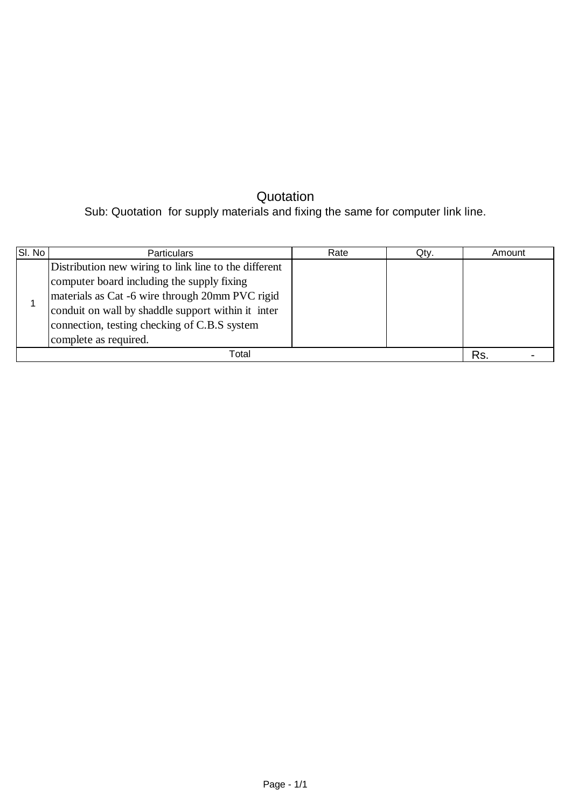## **Quotation**

Sub: Quotation for supply materials and fixing the same for computer link line.

| SI. No | <b>Particulars</b>                                                                                                                                                                                                                                                                    | Rate | Qtv. | Amount |  |
|--------|---------------------------------------------------------------------------------------------------------------------------------------------------------------------------------------------------------------------------------------------------------------------------------------|------|------|--------|--|
|        | Distribution new wiring to link line to the different<br>computer board including the supply fixing<br>materials as Cat -6 wire through 20mm PVC rigid<br>conduit on wall by shaddle support within it inter<br>connection, testing checking of C.B.S system<br>complete as required. |      |      |        |  |
|        | Total                                                                                                                                                                                                                                                                                 |      |      | Rs.    |  |